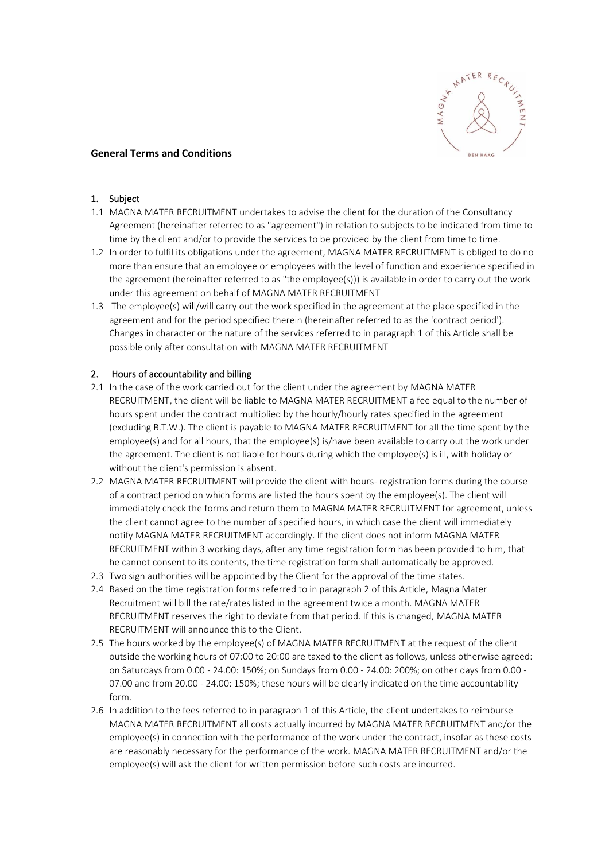

## **General Terms and Conditions**

#### 1. Subject

- 1.1 MAGNA MATER RECRUITMENT undertakes to advise the client for the duration of the Consultancy Agreement (hereinafter referred to as "agreement") in relation to subjects to be indicated from time to time by the client and/or to provide the services to be provided by the client from time to time.
- 1.2 In order to fulfil its obligations under the agreement, MAGNA MATER RECRUITMENT is obliged to do no more than ensure that an employee or employees with the level of function and experience specified in the agreement (hereinafter referred to as "the employee(s))) is available in order to carry out the work under this agreement on behalf of MAGNA MATER RECRUITMENT
- 1.3 The employee(s) will/will carry out the work specified in the agreement at the place specified in the agreement and for the period specified therein (hereinafter referred to as the 'contract period'). Changes in character or the nature of the services referred to in paragraph 1 of this Article shall be possible only after consultation with MAGNA MATER RECRUITMENT

### 2. Hours of accountability and billing

- 2.1 In the case of the work carried out for the client under the agreement by MAGNA MATER RECRUITMENT, the client will be liable to MAGNA MATER RECRUITMENT a fee equal to the number of hours spent under the contract multiplied by the hourly/hourly rates specified in the agreement (excluding B.T.W.). The client is payable to MAGNA MATER RECRUITMENT for all the time spent by the employee(s) and for all hours, that the employee(s) is/have been available to carry out the work under the agreement. The client is not liable for hours during which the employee(s) is ill, with holiday or without the client's permission is absent.
- 2.2 MAGNA MATER RECRUITMENT will provide the client with hours- registration forms during the course of a contract period on which forms are listed the hours spent by the employee(s). The client will immediately check the forms and return them to MAGNA MATER RECRUITMENT for agreement, unless the client cannot agree to the number of specified hours, in which case the client will immediately notify MAGNA MATER RECRUITMENT accordingly. If the client does not inform MAGNA MATER RECRUITMENT within 3 working days, after any time registration form has been provided to him, that he cannot consent to its contents, the time registration form shall automatically be approved.
- 2.3 Two sign authorities will be appointed by the Client for the approval of the time states.
- 2.4 Based on the time registration forms referred to in paragraph 2 of this Article, Magna Mater Recruitment will bill the rate/rates listed in the agreement twice a month. MAGNA MATER RECRUITMENT reserves the right to deviate from that period. If this is changed, MAGNA MATER RECRUITMENT will announce this to the Client.
- 2.5 The hours worked by the employee(s) of MAGNA MATER RECRUITMENT at the request of the client outside the working hours of 07:00 to 20:00 are taxed to the client as follows, unless otherwise agreed: on Saturdays from 0.00 - 24.00: 150%; on Sundays from 0.00 - 24.00: 200%; on other days from 0.00 - 07.00 and from 20.00 - 24.00: 150%; these hours will be clearly indicated on the time accountability form.
- 2.6 In addition to the fees referred to in paragraph 1 of this Article, the client undertakes to reimburse MAGNA MATER RECRUITMENT all costs actually incurred by MAGNA MATER RECRUITMENT and/or the employee(s) in connection with the performance of the work under the contract, insofar as these costs are reasonably necessary for the performance of the work. MAGNA MATER RECRUITMENT and/or the employee(s) will ask the client for written permission before such costs are incurred.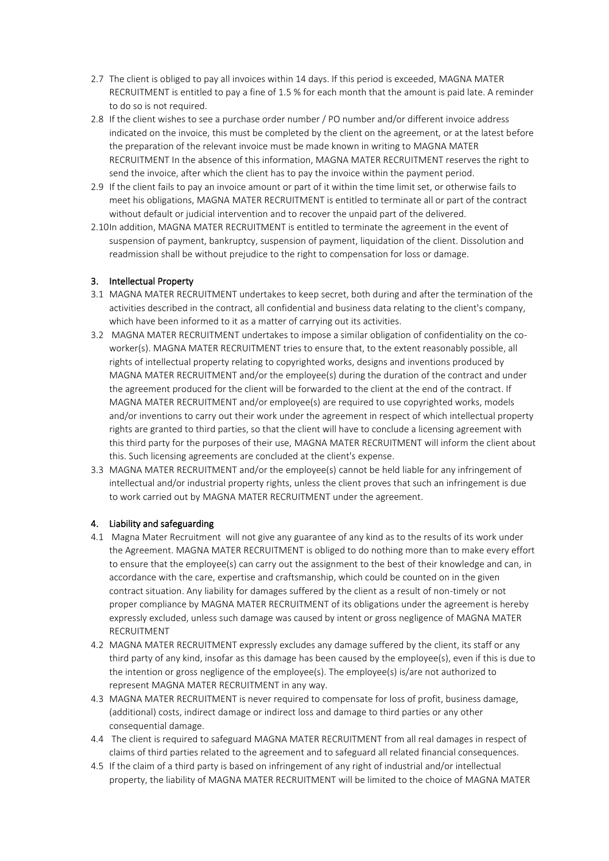- 2.7 The client is obliged to pay all invoices within 14 days. If this period is exceeded, MAGNA MATER RECRUITMENT is entitled to pay a fine of 1.5 % for each month that the amount is paid late. A reminder to do so is not required.
- 2.8 If the client wishes to see a purchase order number / PO number and/or different invoice address indicated on the invoice, this must be completed by the client on the agreement, or at the latest before the preparation of the relevant invoice must be made known in writing to MAGNA MATER RECRUITMENT In the absence of this information, MAGNA MATER RECRUITMENT reserves the right to send the invoice, after which the client has to pay the invoice within the payment period.
- 2.9 If the client fails to pay an invoice amount or part of it within the time limit set, or otherwise fails to meet his obligations, MAGNA MATER RECRUITMENT is entitled to terminate all or part of the contract without default or judicial intervention and to recover the unpaid part of the delivered.
- 2.10In addition, MAGNA MATER RECRUITMENT is entitled to terminate the agreement in the event of suspension of payment, bankruptcy, suspension of payment, liquidation of the client. Dissolution and readmission shall be without prejudice to the right to compensation for loss or damage.

# 3. Intellectual Property

- 3.1 MAGNA MATER RECRUITMENT undertakes to keep secret, both during and after the termination of the activities described in the contract, all confidential and business data relating to the client's company, which have been informed to it as a matter of carrying out its activities.
- 3.2 MAGNA MATER RECRUITMENT undertakes to impose a similar obligation of confidentiality on the coworker(s). MAGNA MATER RECRUITMENT tries to ensure that, to the extent reasonably possible, all rights of intellectual property relating to copyrighted works, designs and inventions produced by MAGNA MATER RECRUITMENT and/or the employee(s) during the duration of the contract and under the agreement produced for the client will be forwarded to the client at the end of the contract. If MAGNA MATER RECRUITMENT and/or employee(s) are required to use copyrighted works, models and/or inventions to carry out their work under the agreement in respect of which intellectual property rights are granted to third parties, so that the client will have to conclude a licensing agreement with this third party for the purposes of their use, MAGNA MATER RECRUITMENT will inform the client about this. Such licensing agreements are concluded at the client's expense.
- 3.3 MAGNA MATER RECRUITMENT and/or the employee(s) cannot be held liable for any infringement of intellectual and/or industrial property rights, unless the client proves that such an infringement is due to work carried out by MAGNA MATER RECRUITMENT under the agreement.

## 4. Liability and safeguarding

- 4.1 Magna Mater Recruitment will not give any guarantee of any kind as to the results of its work under the Agreement. MAGNA MATER RECRUITMENT is obliged to do nothing more than to make every effort to ensure that the employee(s) can carry out the assignment to the best of their knowledge and can, in accordance with the care, expertise and craftsmanship, which could be counted on in the given contract situation. Any liability for damages suffered by the client as a result of non-timely or not proper compliance by MAGNA MATER RECRUITMENT of its obligations under the agreement is hereby expressly excluded, unless such damage was caused by intent or gross negligence of MAGNA MATER RECRUITMENT
- 4.2 MAGNA MATER RECRUITMENT expressly excludes any damage suffered by the client, its staff or any third party of any kind, insofar as this damage has been caused by the employee(s), even if this is due to the intention or gross negligence of the employee(s). The employee(s) is/are not authorized to represent MAGNA MATER RECRUITMENT in any way.
- 4.3 MAGNA MATER RECRUITMENT is never required to compensate for loss of profit, business damage, (additional) costs, indirect damage or indirect loss and damage to third parties or any other consequential damage.
- 4.4 The client is required to safeguard MAGNA MATER RECRUITMENT from all real damages in respect of claims of third parties related to the agreement and to safeguard all related financial consequences.
- 4.5 If the claim of a third party is based on infringement of any right of industrial and/or intellectual property, the liability of MAGNA MATER RECRUITMENT will be limited to the choice of MAGNA MATER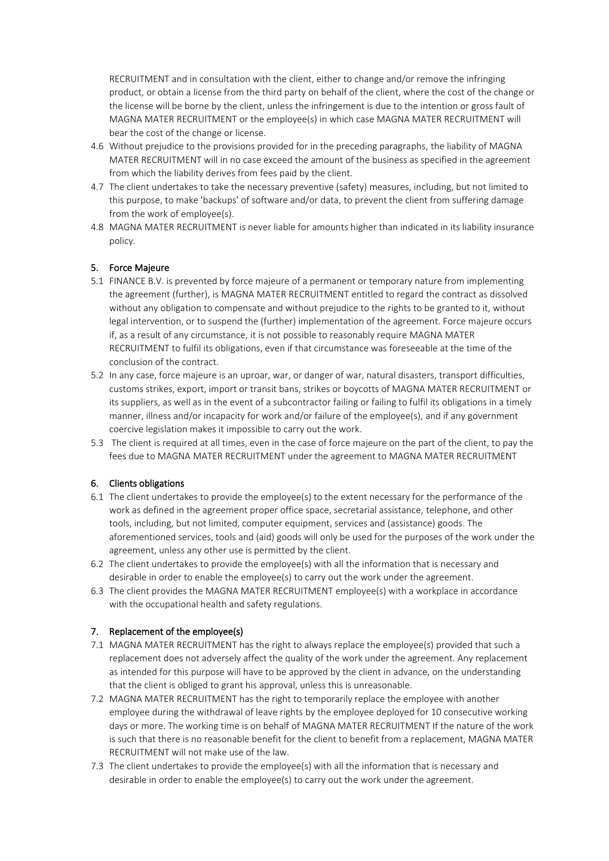RECRUITMENT and in consultation with the client, either to change and/or remove the infringing product, or obtain a license from the third party on behalf of the client, where the cost of the change or the license will be borne by the client, unless the infringement is due to the intention or gross fault of MAGNA MATER RECRUITMENT or the employee(s) in which case MAGNA MATER RECRUITMENT will bear the cost of the change or license.

- 4.6 Without prejudice to the provisions provided for in the preceding paragraphs, the liability of MAGNA MATER RECRUITMENT will in no case exceed the amount of the business as specified in the agreement from which the liability derives from fees paid by the client.
- 4.7 The client undertakes to take the necessary preventive (safety) measures, including, but not limited to this purpose, to make 'backups' of software and/or data, to prevent the client from suffering damage from the work of employee(s).
- 4.8 MAGNA MATER RECRUITMENT is never liable for amounts higher than indicated in its liability insurance policy.

## 5. Force Majeure

- 5.1 FINANCE B.V. is prevented by force majeure of a permanent or temporary nature from implementing the agreement (further), is MAGNA MATER RECRUITMENT entitled to regard the contract as dissolved without any obligation to compensate and without prejudice to the rights to be granted to it, without legal intervention, or to suspend the (further) implementation of the agreement. Force majeure occurs if, as a result of any circumstance, it is not possible to reasonably require MAGNA MATER RECRUITMENT to fulfil its obligations, even if that circumstance was foreseeable at the time of the conclusion of the contract.
- 5.2 In any case, force majeure is an uproar, war, or danger of war, natural disasters, transport difficulties, customs strikes, export, import or transit bans, strikes or boycotts of MAGNA MATER RECRUITMENT or its suppliers, as well as in the event of a subcontractor failing or failing to fulfil its obligations in a timely manner, illness and/or incapacity for work and/or failure of the employee(s), and if any government coercive legislation makes it impossible to carry out the work.
- 5.3 The client is required at all times, even in the case of force majeure on the part of the client, to pay the fees due to MAGNA MATER RECRUITMENT under the agreement to MAGNA MATER RECRUITMENT

### 6. Clients obligations

- 6.1 The client undertakes to provide the employee(s) to the extent necessary for the performance of the work as defined in the agreement proper office space, secretarial assistance, telephone, and other tools, including, but not limited, computer equipment, services and (assistance) goods. The aforementioned services, tools and (aid) goods will only be used for the purposes of the work under the agreement, unless any other use is permitted by the client.
- 6.2 The client undertakes to provide the employee(s) with all the information that is necessary and desirable in order to enable the employee(s) to carry out the work under the agreement.
- 6.3 The client provides the MAGNA MATER RECRUITMENT employee(s) with a workplace in accordance with the occupational health and safety regulations.

### 7. Replacement of the employee(s)

- 7.1 MAGNA MATER RECRUITMENT has the right to always replace the employee(s) provided that such a replacement does not adversely affect the quality of the work under the agreement. Any replacement as intended for this purpose will have to be approved by the client in advance, on the understanding that the client is obliged to grant his approval, unless this is unreasonable.
- 7.2 MAGNA MATER RECRUITMENT has the right to temporarily replace the employee with another employee during the withdrawal of leave rights by the employee deployed for 10 consecutive working days or more. The working time is on behalf of MAGNA MATER RECRUITMENT If the nature of the work is such that there is no reasonable benefit for the client to benefit from a replacement, MAGNA MATER RECRUITMENT will not make use of the law.
- 7.3 The client undertakes to provide the employee(s) with all the information that is necessary and desirable in order to enable the employee(s) to carry out the work under the agreement.